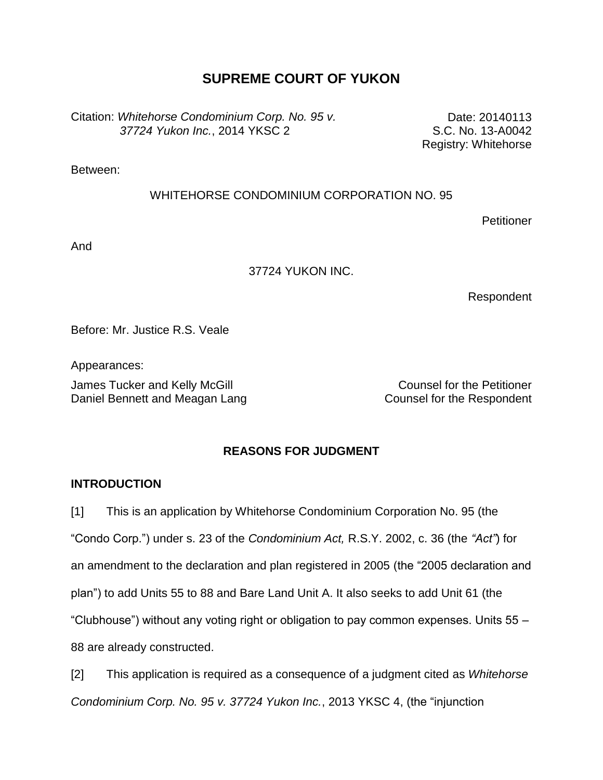# **SUPREME COURT OF YUKON**

Citation: *Whitehorse Condominium Corp. No. 95 v. 37724 Yukon Inc.*, 2014 YKSC 2

Date: 20140113 S.C. No. 13-A0042 Registry: Whitehorse

Between:

## WHITEHORSE CONDOMINIUM CORPORATION NO. 95

**Petitioner** 

And

## 37724 YUKON INC.

Respondent

Before: Mr. Justice R.S. Veale

Appearances:

James Tucker and Kelly McGill **Counsel for the Petitioner** Counsel for the Petitioner Daniel Bennett and Meagan Lang Counsel for the Respondent

# **REASONS FOR JUDGMENT**

# **INTRODUCTION**

[1] This is an application by Whitehorse Condominium Corporation No. 95 (the "Condo Corp.") under s. 23 of the *Condominium Act,* R.S.Y. 2002, c. 36 (the *"Act"*) for an amendment to the declaration and plan registered in 2005 (the "2005 declaration and plan") to add Units 55 to 88 and Bare Land Unit A. It also seeks to add Unit 61 (the "Clubhouse") without any voting right or obligation to pay common expenses. Units 55 – 88 are already constructed.

[2] This application is required as a consequence of a judgment cited as *Whitehorse Condominium Corp. No. 95 v. 37724 Yukon Inc.*, 2013 YKSC 4, (the "injunction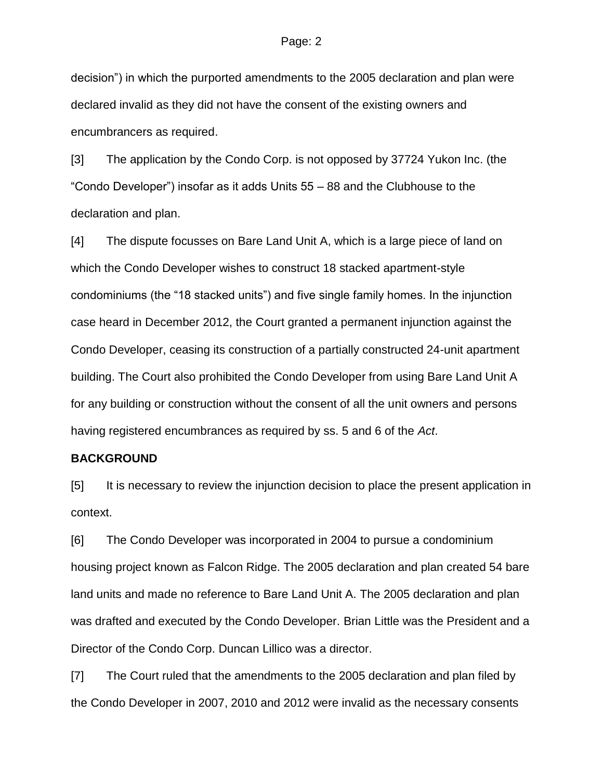decision") in which the purported amendments to the 2005 declaration and plan were declared invalid as they did not have the consent of the existing owners and encumbrancers as required.

[3] The application by the Condo Corp. is not opposed by 37724 Yukon Inc. (the "Condo Developer") insofar as it adds Units 55 – 88 and the Clubhouse to the declaration and plan.

[4] The dispute focusses on Bare Land Unit A, which is a large piece of land on which the Condo Developer wishes to construct 18 stacked apartment-style condominiums (the "18 stacked units") and five single family homes. In the injunction case heard in December 2012, the Court granted a permanent injunction against the Condo Developer, ceasing its construction of a partially constructed 24-unit apartment building. The Court also prohibited the Condo Developer from using Bare Land Unit A for any building or construction without the consent of all the unit owners and persons having registered encumbrances as required by ss. 5 and 6 of the *Act*.

### **BACKGROUND**

[5] It is necessary to review the injunction decision to place the present application in context.

[6] The Condo Developer was incorporated in 2004 to pursue a condominium housing project known as Falcon Ridge. The 2005 declaration and plan created 54 bare land units and made no reference to Bare Land Unit A. The 2005 declaration and plan was drafted and executed by the Condo Developer. Brian Little was the President and a Director of the Condo Corp. Duncan Lillico was a director.

[7] The Court ruled that the amendments to the 2005 declaration and plan filed by the Condo Developer in 2007, 2010 and 2012 were invalid as the necessary consents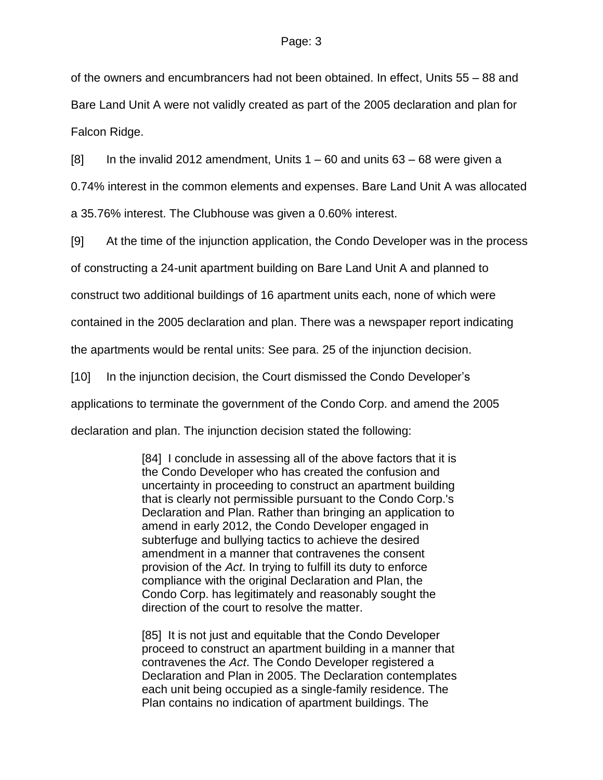of the owners and encumbrancers had not been obtained. In effect, Units 55 – 88 and Bare Land Unit A were not validly created as part of the 2005 declaration and plan for Falcon Ridge.

[8] In the invalid 2012 amendment, Units 1 – 60 and units 63 – 68 were given a 0.74% interest in the common elements and expenses. Bare Land Unit A was allocated a 35.76% interest. The Clubhouse was given a 0.60% interest.

[9] At the time of the injunction application, the Condo Developer was in the process

of constructing a 24-unit apartment building on Bare Land Unit A and planned to

construct two additional buildings of 16 apartment units each, none of which were

contained in the 2005 declaration and plan. There was a newspaper report indicating

the apartments would be rental units: See para. 25 of the injunction decision.

[10] In the injunction decision, the Court dismissed the Condo Developer's applications to terminate the government of the Condo Corp. and amend the 2005 declaration and plan. The injunction decision stated the following:

> [84] I conclude in assessing all of the above factors that it is the Condo Developer who has created the confusion and uncertainty in proceeding to construct an apartment building that is clearly not permissible pursuant to the Condo Corp.'s Declaration and Plan. Rather than bringing an application to amend in early 2012, the Condo Developer engaged in subterfuge and bullying tactics to achieve the desired amendment in a manner that contravenes the consent provision of the *Act*. In trying to fulfill its duty to enforce compliance with the original Declaration and Plan, the Condo Corp. has legitimately and reasonably sought the direction of the court to resolve the matter.

> [85] It is not just and equitable that the Condo Developer proceed to construct an apartment building in a manner that contravenes the *Act*. The Condo Developer registered a Declaration and Plan in 2005. The Declaration contemplates each unit being occupied as a single-family residence. The Plan contains no indication of apartment buildings. The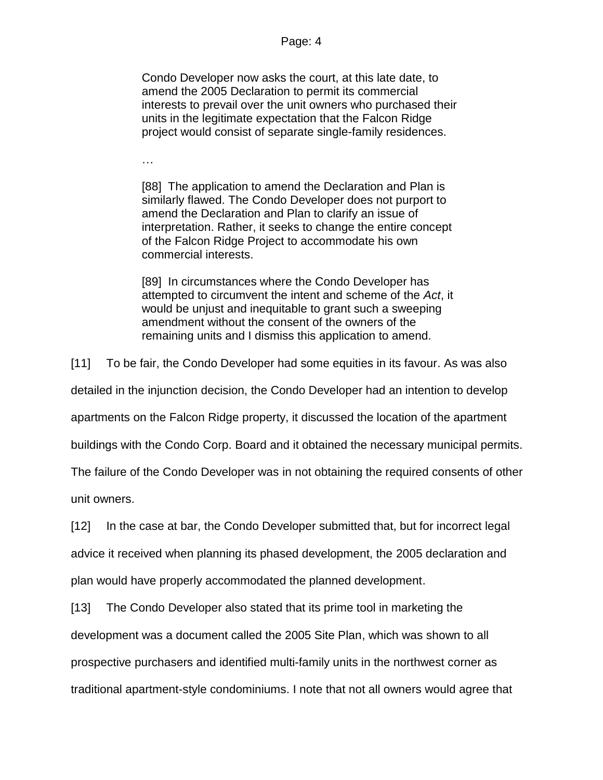Condo Developer now asks the court, at this late date, to amend the 2005 Declaration to permit its commercial interests to prevail over the unit owners who purchased their units in the legitimate expectation that the Falcon Ridge project would consist of separate single-family residences.

…

[88] The application to amend the Declaration and Plan is similarly flawed. The Condo Developer does not purport to amend the Declaration and Plan to clarify an issue of interpretation. Rather, it seeks to change the entire concept of the Falcon Ridge Project to accommodate his own commercial interests.

[89] In circumstances where the Condo Developer has attempted to circumvent the intent and scheme of the *Act*, it would be unjust and inequitable to grant such a sweeping amendment without the consent of the owners of the remaining units and I dismiss this application to amend.

[11] To be fair, the Condo Developer had some equities in its favour. As was also

detailed in the injunction decision, the Condo Developer had an intention to develop

apartments on the Falcon Ridge property, it discussed the location of the apartment

buildings with the Condo Corp. Board and it obtained the necessary municipal permits.

The failure of the Condo Developer was in not obtaining the required consents of other

unit owners.

[12] In the case at bar, the Condo Developer submitted that, but for incorrect legal

advice it received when planning its phased development, the 2005 declaration and

plan would have properly accommodated the planned development.

[13] The Condo Developer also stated that its prime tool in marketing the

development was a document called the 2005 Site Plan, which was shown to all

prospective purchasers and identified multi-family units in the northwest corner as

traditional apartment-style condominiums. I note that not all owners would agree that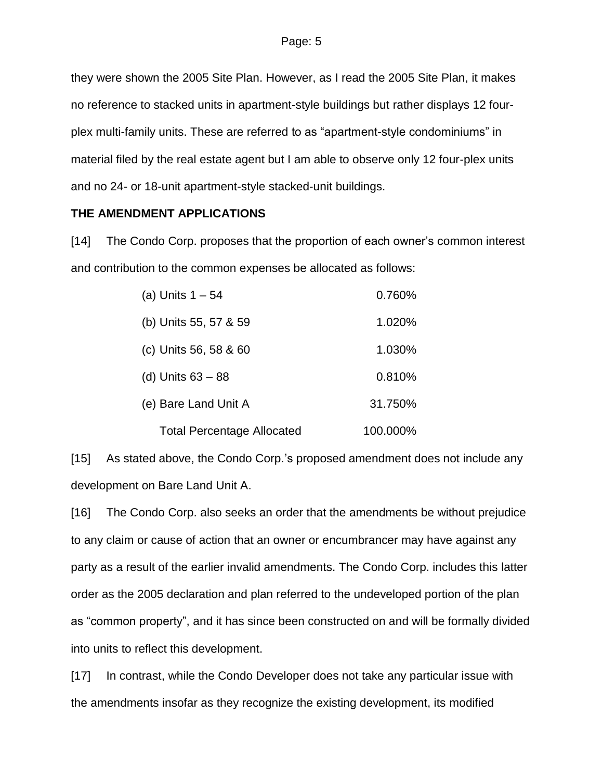they were shown the 2005 Site Plan. However, as I read the 2005 Site Plan, it makes no reference to stacked units in apartment-style buildings but rather displays 12 fourplex multi-family units. These are referred to as "apartment-style condominiums" in material filed by the real estate agent but I am able to observe only 12 four-plex units and no 24- or 18-unit apartment-style stacked-unit buildings.

## **THE AMENDMENT APPLICATIONS**

[14] The Condo Corp. proposes that the proportion of each owner's common interest and contribution to the common expenses be allocated as follows:

| (a) Units $1 - 54$                | 0.760%   |
|-----------------------------------|----------|
| (b) Units 55, 57 & 59             | 1.020%   |
| (c) Units 56, 58 & 60             | 1.030%   |
| (d) Units $63 - 88$               | 0.810%   |
| (e) Bare Land Unit A              | 31.750%  |
| <b>Total Percentage Allocated</b> | 100.000% |

[15] As stated above, the Condo Corp.'s proposed amendment does not include any development on Bare Land Unit A.

[16] The Condo Corp. also seeks an order that the amendments be without prejudice to any claim or cause of action that an owner or encumbrancer may have against any party as a result of the earlier invalid amendments. The Condo Corp. includes this latter order as the 2005 declaration and plan referred to the undeveloped portion of the plan as "common property", and it has since been constructed on and will be formally divided into units to reflect this development.

[17] In contrast, while the Condo Developer does not take any particular issue with the amendments insofar as they recognize the existing development, its modified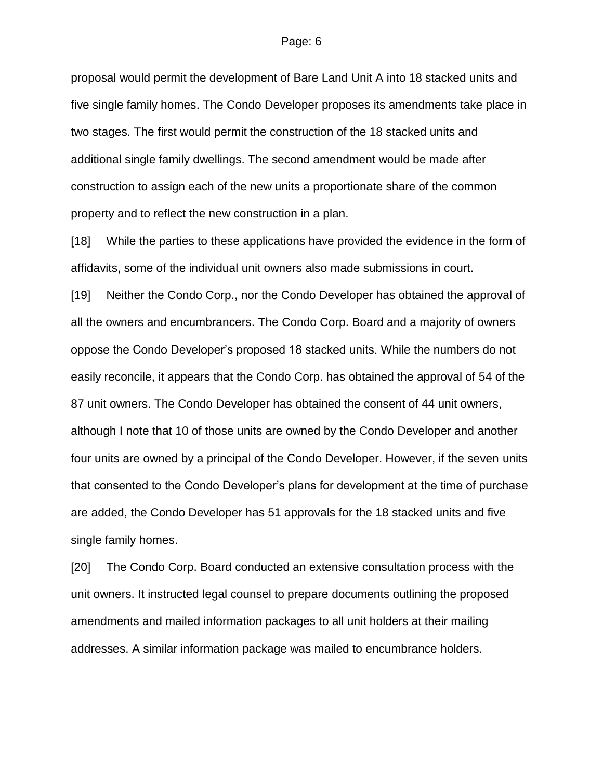proposal would permit the development of Bare Land Unit A into 18 stacked units and five single family homes. The Condo Developer proposes its amendments take place in two stages. The first would permit the construction of the 18 stacked units and additional single family dwellings. The second amendment would be made after construction to assign each of the new units a proportionate share of the common property and to reflect the new construction in a plan.

[18] While the parties to these applications have provided the evidence in the form of affidavits, some of the individual unit owners also made submissions in court.

[19] Neither the Condo Corp., nor the Condo Developer has obtained the approval of all the owners and encumbrancers. The Condo Corp. Board and a majority of owners oppose the Condo Developer's proposed 18 stacked units. While the numbers do not easily reconcile, it appears that the Condo Corp. has obtained the approval of 54 of the 87 unit owners. The Condo Developer has obtained the consent of 44 unit owners, although I note that 10 of those units are owned by the Condo Developer and another four units are owned by a principal of the Condo Developer. However, if the seven units that consented to the Condo Developer's plans for development at the time of purchase are added, the Condo Developer has 51 approvals for the 18 stacked units and five single family homes.

[20] The Condo Corp. Board conducted an extensive consultation process with the unit owners. It instructed legal counsel to prepare documents outlining the proposed amendments and mailed information packages to all unit holders at their mailing addresses. A similar information package was mailed to encumbrance holders.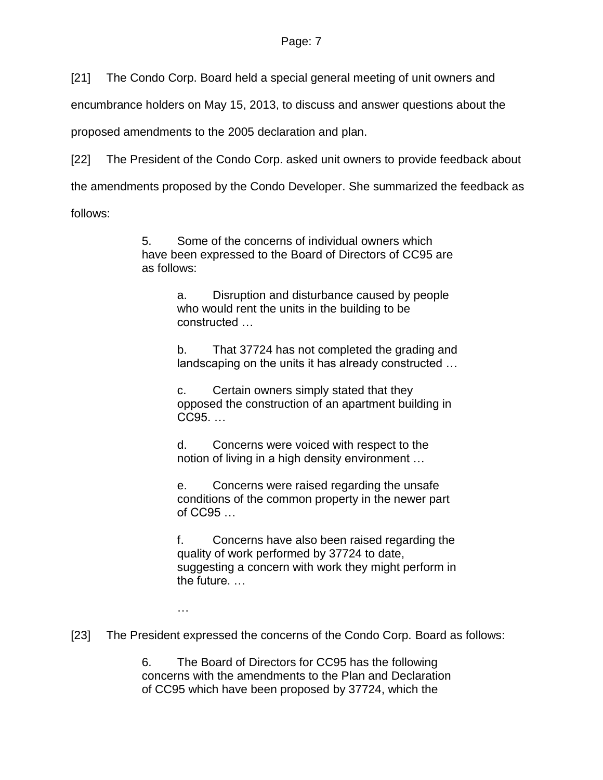[21] The Condo Corp. Board held a special general meeting of unit owners and

encumbrance holders on May 15, 2013, to discuss and answer questions about the

proposed amendments to the 2005 declaration and plan.

[22] The President of the Condo Corp. asked unit owners to provide feedback about

the amendments proposed by the Condo Developer. She summarized the feedback as

follows:

5. Some of the concerns of individual owners which have been expressed to the Board of Directors of CC95 are as follows:

> a. Disruption and disturbance caused by people who would rent the units in the building to be constructed …

b. That 37724 has not completed the grading and landscaping on the units it has already constructed …

c. Certain owners simply stated that they opposed the construction of an apartment building in CC95. …

d. Concerns were voiced with respect to the notion of living in a high density environment …

e. Concerns were raised regarding the unsafe conditions of the common property in the newer part of CC95 …

f. Concerns have also been raised regarding the quality of work performed by 37724 to date, suggesting a concern with work they might perform in the future. …

…

[23] The President expressed the concerns of the Condo Corp. Board as follows:

6. The Board of Directors for CC95 has the following concerns with the amendments to the Plan and Declaration of CC95 which have been proposed by 37724, which the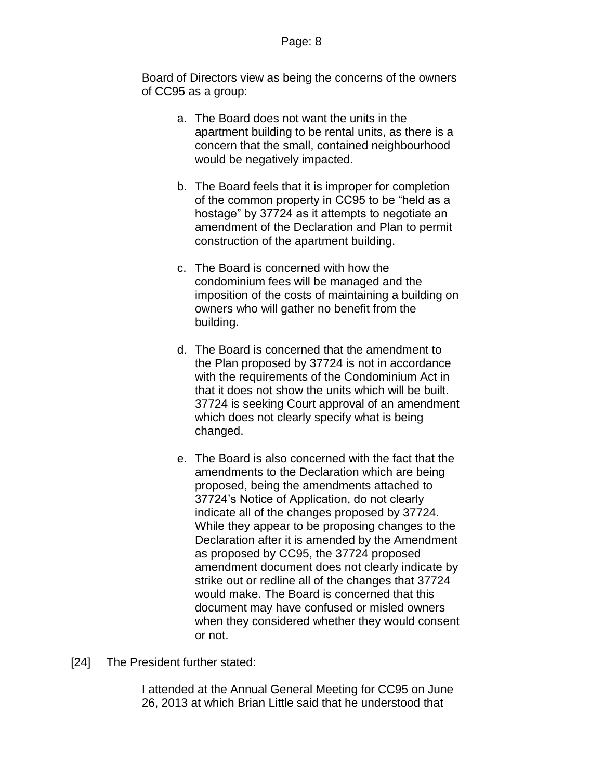Board of Directors view as being the concerns of the owners of CC95 as a group:

- a. The Board does not want the units in the apartment building to be rental units, as there is a concern that the small, contained neighbourhood would be negatively impacted.
- b. The Board feels that it is improper for completion of the common property in CC95 to be "held as a hostage" by 37724 as it attempts to negotiate an amendment of the Declaration and Plan to permit construction of the apartment building.
- c. The Board is concerned with how the condominium fees will be managed and the imposition of the costs of maintaining a building on owners who will gather no benefit from the building.
- d. The Board is concerned that the amendment to the Plan proposed by 37724 is not in accordance with the requirements of the Condominium Act in that it does not show the units which will be built. 37724 is seeking Court approval of an amendment which does not clearly specify what is being changed.
- e. The Board is also concerned with the fact that the amendments to the Declaration which are being proposed, being the amendments attached to 37724's Notice of Application, do not clearly indicate all of the changes proposed by 37724. While they appear to be proposing changes to the Declaration after it is amended by the Amendment as proposed by CC95, the 37724 proposed amendment document does not clearly indicate by strike out or redline all of the changes that 37724 would make. The Board is concerned that this document may have confused or misled owners when they considered whether they would consent or not.
- [24] The President further stated:

I attended at the Annual General Meeting for CC95 on June 26, 2013 at which Brian Little said that he understood that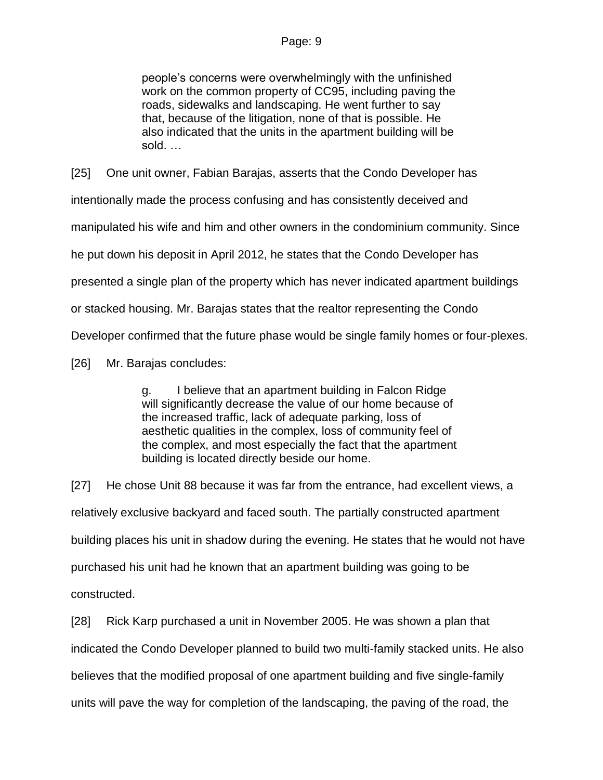people's concerns were overwhelmingly with the unfinished work on the common property of CC95, including paving the roads, sidewalks and landscaping. He went further to say that, because of the litigation, none of that is possible. He also indicated that the units in the apartment building will be sold. …

[25] One unit owner, Fabian Barajas, asserts that the Condo Developer has intentionally made the process confusing and has consistently deceived and manipulated his wife and him and other owners in the condominium community. Since he put down his deposit in April 2012, he states that the Condo Developer has presented a single plan of the property which has never indicated apartment buildings or stacked housing. Mr. Barajas states that the realtor representing the Condo Developer confirmed that the future phase would be single family homes or four-plexes.

[26] Mr. Barajas concludes:

g. I believe that an apartment building in Falcon Ridge will significantly decrease the value of our home because of the increased traffic, lack of adequate parking, loss of aesthetic qualities in the complex, loss of community feel of the complex, and most especially the fact that the apartment building is located directly beside our home.

[27] He chose Unit 88 because it was far from the entrance, had excellent views, a relatively exclusive backyard and faced south. The partially constructed apartment building places his unit in shadow during the evening. He states that he would not have purchased his unit had he known that an apartment building was going to be constructed.

[28] Rick Karp purchased a unit in November 2005. He was shown a plan that indicated the Condo Developer planned to build two multi-family stacked units. He also believes that the modified proposal of one apartment building and five single-family units will pave the way for completion of the landscaping, the paving of the road, the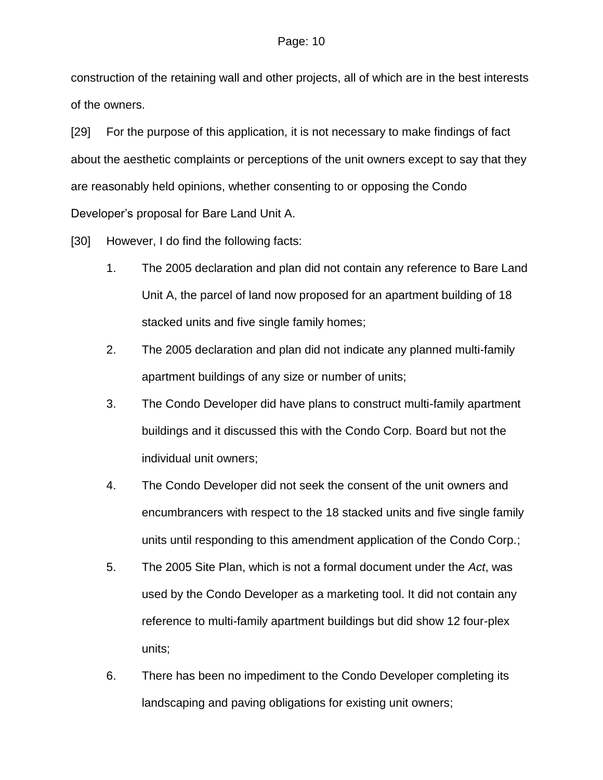construction of the retaining wall and other projects, all of which are in the best interests of the owners.

[29] For the purpose of this application, it is not necessary to make findings of fact about the aesthetic complaints or perceptions of the unit owners except to say that they are reasonably held opinions, whether consenting to or opposing the Condo Developer's proposal for Bare Land Unit A.

[30] However, I do find the following facts:

- 1. The 2005 declaration and plan did not contain any reference to Bare Land Unit A, the parcel of land now proposed for an apartment building of 18 stacked units and five single family homes;
- 2. The 2005 declaration and plan did not indicate any planned multi-family apartment buildings of any size or number of units;
- 3. The Condo Developer did have plans to construct multi-family apartment buildings and it discussed this with the Condo Corp. Board but not the individual unit owners;
- 4. The Condo Developer did not seek the consent of the unit owners and encumbrancers with respect to the 18 stacked units and five single family units until responding to this amendment application of the Condo Corp.;
- 5. The 2005 Site Plan, which is not a formal document under the *Act*, was used by the Condo Developer as a marketing tool. It did not contain any reference to multi-family apartment buildings but did show 12 four-plex units;
- 6. There has been no impediment to the Condo Developer completing its landscaping and paving obligations for existing unit owners;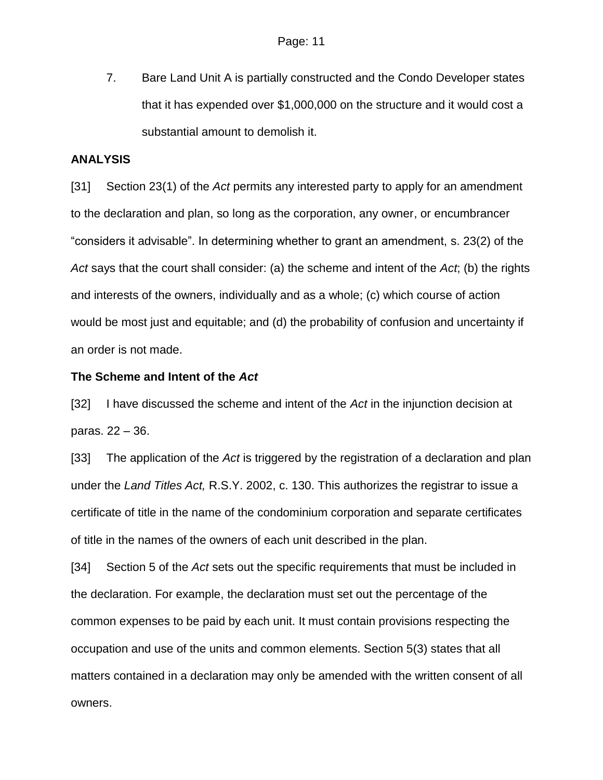7. Bare Land Unit A is partially constructed and the Condo Developer states that it has expended over \$1,000,000 on the structure and it would cost a substantial amount to demolish it.

## **ANALYSIS**

[31] Section 23(1) of the *Act* permits any interested party to apply for an amendment to the declaration and plan, so long as the corporation, any owner, or encumbrancer "considers it advisable". In determining whether to grant an amendment, s. 23(2) of the *Act* says that the court shall consider: (a) the scheme and intent of the *Act*; (b) the rights and interests of the owners, individually and as a whole; (c) which course of action would be most just and equitable; and (d) the probability of confusion and uncertainty if an order is not made.

## **The Scheme and Intent of the** *Act*

[32] I have discussed the scheme and intent of the *Act* in the injunction decision at paras. 22 – 36.

[33] The application of the *Act* is triggered by the registration of a declaration and plan under the *Land Titles Act,* R.S.Y. 2002, c. 130. This authorizes the registrar to issue a certificate of title in the name of the condominium corporation and separate certificates of title in the names of the owners of each unit described in the plan.

[34] Section 5 of the *Act* sets out the specific requirements that must be included in the declaration. For example, the declaration must set out the percentage of the common expenses to be paid by each unit. It must contain provisions respecting the occupation and use of the units and common elements. Section 5(3) states that all matters contained in a declaration may only be amended with the written consent of all owners.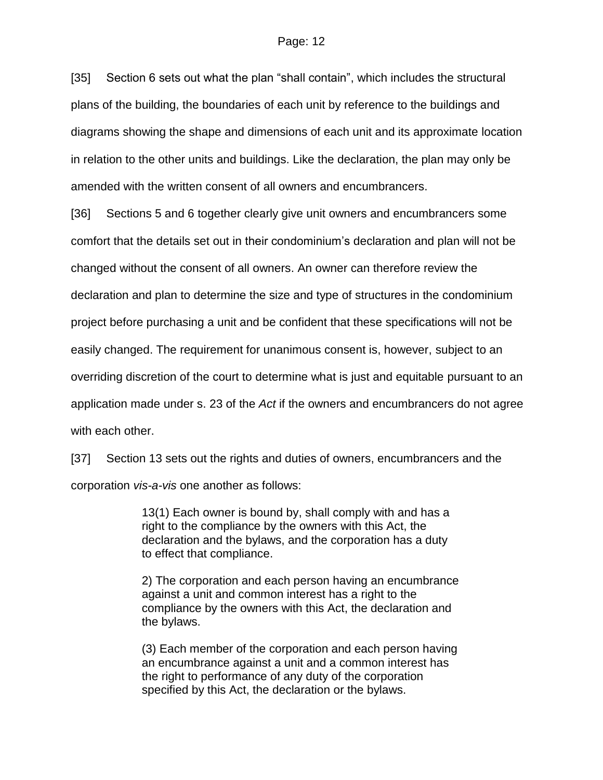[35] Section 6 sets out what the plan "shall contain", which includes the structural plans of the building, the boundaries of each unit by reference to the buildings and diagrams showing the shape and dimensions of each unit and its approximate location in relation to the other units and buildings. Like the declaration, the plan may only be amended with the written consent of all owners and encumbrancers.

[36] Sections 5 and 6 together clearly give unit owners and encumbrancers some comfort that the details set out in their condominium's declaration and plan will not be changed without the consent of all owners. An owner can therefore review the declaration and plan to determine the size and type of structures in the condominium project before purchasing a unit and be confident that these specifications will not be easily changed. The requirement for unanimous consent is, however, subject to an overriding discretion of the court to determine what is just and equitable pursuant to an application made under s. 23 of the *Act* if the owners and encumbrancers do not agree with each other.

[37] Section 13 sets out the rights and duties of owners, encumbrancers and the corporation *vis-a-vis* one another as follows:

> 13(1) Each owner is bound by, shall comply with and has a right to the compliance by the owners with this Act, the declaration and the bylaws, and the corporation has a duty to effect that compliance.

2) The corporation and each person having an encumbrance against a unit and common interest has a right to the compliance by the owners with this Act, the declaration and the bylaws.

(3) Each member of the corporation and each person having an encumbrance against a unit and a common interest has the right to performance of any duty of the corporation specified by this Act, the declaration or the bylaws.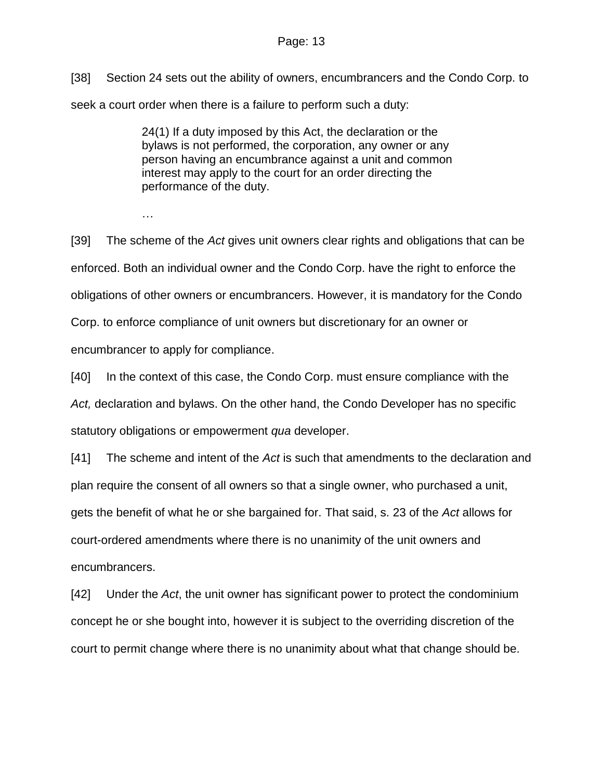[38] Section 24 sets out the ability of owners, encumbrancers and the Condo Corp. to seek a court order when there is a failure to perform such a duty:

> 24(1) If a duty imposed by this Act, the declaration or the bylaws is not performed, the corporation, any owner or any person having an encumbrance against a unit and common interest may apply to the court for an order directing the performance of the duty.

…

[39] The scheme of the *Act* gives unit owners clear rights and obligations that can be enforced. Both an individual owner and the Condo Corp. have the right to enforce the obligations of other owners or encumbrancers. However, it is mandatory for the Condo Corp. to enforce compliance of unit owners but discretionary for an owner or encumbrancer to apply for compliance.

[40] In the context of this case, the Condo Corp. must ensure compliance with the *Act,* declaration and bylaws. On the other hand, the Condo Developer has no specific statutory obligations or empowerment *qua* developer.

[41] The scheme and intent of the *Act* is such that amendments to the declaration and plan require the consent of all owners so that a single owner, who purchased a unit, gets the benefit of what he or she bargained for. That said, s. 23 of the *Act* allows for court-ordered amendments where there is no unanimity of the unit owners and encumbrancers.

[42] Under the *Act*, the unit owner has significant power to protect the condominium concept he or she bought into, however it is subject to the overriding discretion of the court to permit change where there is no unanimity about what that change should be.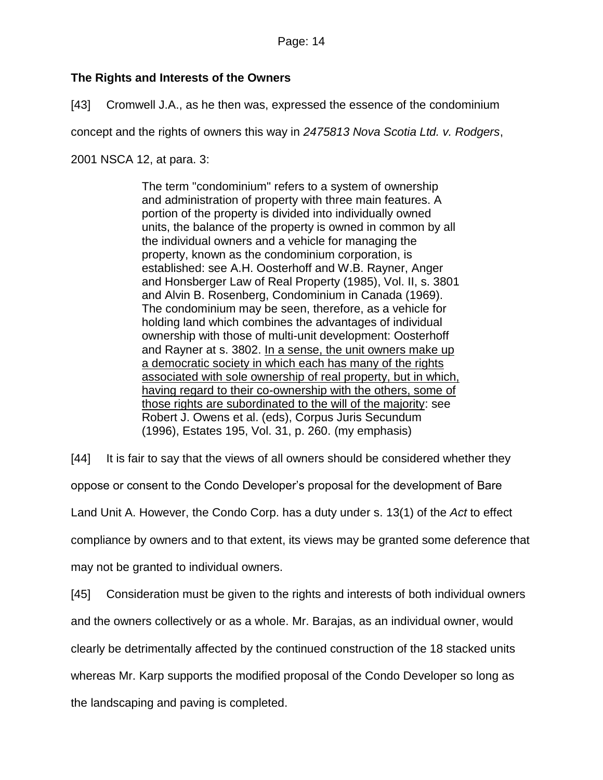# **The Rights and Interests of the Owners**

[43] Cromwell J.A., as he then was, expressed the essence of the condominium

concept and the rights of owners this way in *2475813 Nova Scotia Ltd. v. Rodgers*,

2001 NSCA 12, at para. 3:

The term "condominium" refers to a system of ownership and administration of property with three main features. A portion of the property is divided into individually owned units, the balance of the property is owned in common by all the individual owners and a vehicle for managing the property, known as the condominium corporation, is established: see A.H. Oosterhoff and W.B. Rayner, Anger and Honsberger Law of Real Property (1985), Vol. II, s. 3801 and Alvin B. Rosenberg, Condominium in Canada (1969). The condominium may be seen, therefore, as a vehicle for holding land which combines the advantages of individual ownership with those of multi-unit development: Oosterhoff and Rayner at s. 3802. In a sense, the unit owners make up a democratic society in which each has many of the rights associated with sole ownership of real property, but in which, having regard to their co-ownership with the others, some of those rights are subordinated to the will of the majority: see Robert J. Owens et al. (eds), Corpus Juris Secundum (1996), Estates 195, Vol. 31, p. 260. (my emphasis)

[44] It is fair to say that the views of all owners should be considered whether they oppose or consent to the Condo Developer's proposal for the development of Bare Land Unit A. However, the Condo Corp. has a duty under s. 13(1) of the *Act* to effect compliance by owners and to that extent, its views may be granted some deference that may not be granted to individual owners.

[45] Consideration must be given to the rights and interests of both individual owners and the owners collectively or as a whole. Mr. Barajas, as an individual owner, would clearly be detrimentally affected by the continued construction of the 18 stacked units whereas Mr. Karp supports the modified proposal of the Condo Developer so long as the landscaping and paving is completed.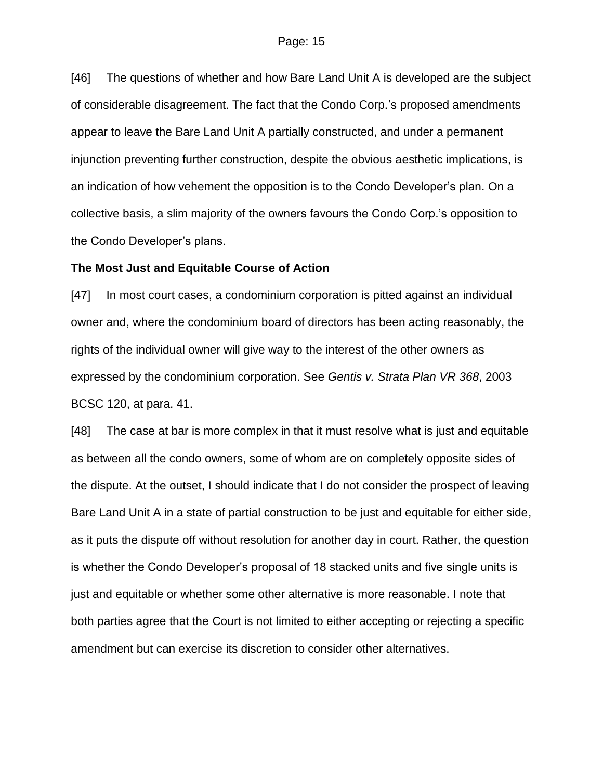[46] The questions of whether and how Bare Land Unit A is developed are the subject of considerable disagreement. The fact that the Condo Corp.'s proposed amendments appear to leave the Bare Land Unit A partially constructed, and under a permanent injunction preventing further construction, despite the obvious aesthetic implications, is an indication of how vehement the opposition is to the Condo Developer's plan. On a collective basis, a slim majority of the owners favours the Condo Corp.'s opposition to the Condo Developer's plans.

#### **The Most Just and Equitable Course of Action**

[47] In most court cases, a condominium corporation is pitted against an individual owner and, where the condominium board of directors has been acting reasonably, the rights of the individual owner will give way to the interest of the other owners as expressed by the condominium corporation. See *Gentis v. Strata Plan VR 368*, 2003 BCSC 120, at para. 41.

[48] The case at bar is more complex in that it must resolve what is just and equitable as between all the condo owners, some of whom are on completely opposite sides of the dispute. At the outset, I should indicate that I do not consider the prospect of leaving Bare Land Unit A in a state of partial construction to be just and equitable for either side, as it puts the dispute off without resolution for another day in court. Rather, the question is whether the Condo Developer's proposal of 18 stacked units and five single units is just and equitable or whether some other alternative is more reasonable. I note that both parties agree that the Court is not limited to either accepting or rejecting a specific amendment but can exercise its discretion to consider other alternatives.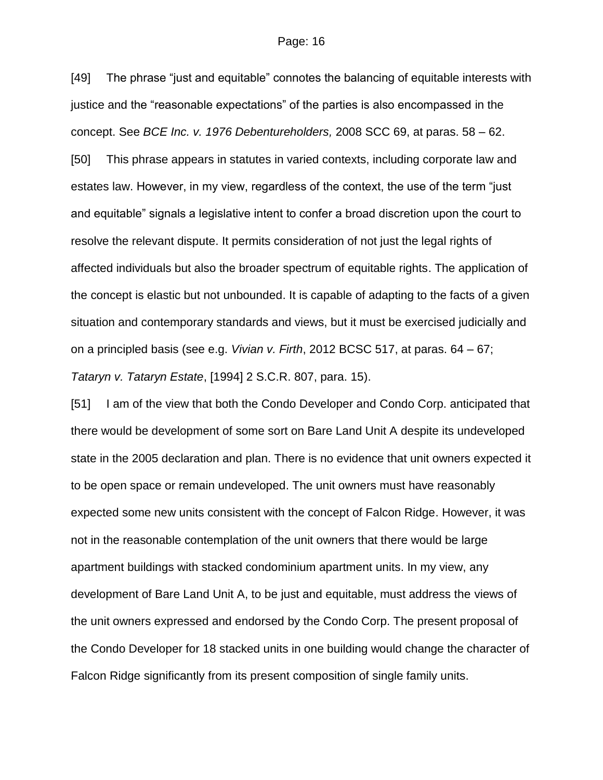[49] The phrase "just and equitable" connotes the balancing of equitable interests with justice and the "reasonable expectations" of the parties is also encompassed in the concept. See *BCE Inc. v. 1976 Debentureholders,* 2008 SCC 69, at paras. 58 – 62.

[50] This phrase appears in statutes in varied contexts, including corporate law and estates law. However, in my view, regardless of the context, the use of the term "just and equitable" signals a legislative intent to confer a broad discretion upon the court to resolve the relevant dispute. It permits consideration of not just the legal rights of affected individuals but also the broader spectrum of equitable rights. The application of the concept is elastic but not unbounded. It is capable of adapting to the facts of a given situation and contemporary standards and views, but it must be exercised judicially and on a principled basis (see e.g. *Vivian v. Firth*, 2012 BCSC 517, at paras. 64 – 67; *Tataryn v. Tataryn Estate*, [1994] 2 S.C.R. 807, para. 15).

[51] I am of the view that both the Condo Developer and Condo Corp. anticipated that there would be development of some sort on Bare Land Unit A despite its undeveloped state in the 2005 declaration and plan. There is no evidence that unit owners expected it to be open space or remain undeveloped. The unit owners must have reasonably expected some new units consistent with the concept of Falcon Ridge. However, it was not in the reasonable contemplation of the unit owners that there would be large apartment buildings with stacked condominium apartment units. In my view, any development of Bare Land Unit A, to be just and equitable, must address the views of the unit owners expressed and endorsed by the Condo Corp. The present proposal of the Condo Developer for 18 stacked units in one building would change the character of Falcon Ridge significantly from its present composition of single family units.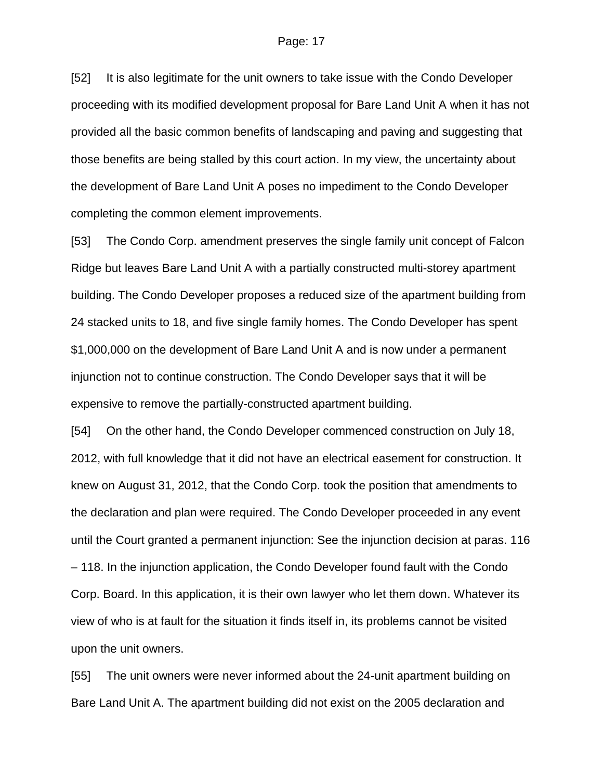[52] It is also legitimate for the unit owners to take issue with the Condo Developer proceeding with its modified development proposal for Bare Land Unit A when it has not provided all the basic common benefits of landscaping and paving and suggesting that those benefits are being stalled by this court action. In my view, the uncertainty about the development of Bare Land Unit A poses no impediment to the Condo Developer completing the common element improvements.

[53] The Condo Corp. amendment preserves the single family unit concept of Falcon Ridge but leaves Bare Land Unit A with a partially constructed multi-storey apartment building. The Condo Developer proposes a reduced size of the apartment building from 24 stacked units to 18, and five single family homes. The Condo Developer has spent \$1,000,000 on the development of Bare Land Unit A and is now under a permanent injunction not to continue construction. The Condo Developer says that it will be expensive to remove the partially-constructed apartment building.

[54] On the other hand, the Condo Developer commenced construction on July 18, 2012, with full knowledge that it did not have an electrical easement for construction. It knew on August 31, 2012, that the Condo Corp. took the position that amendments to the declaration and plan were required. The Condo Developer proceeded in any event until the Court granted a permanent injunction: See the injunction decision at paras. 116 – 118. In the injunction application, the Condo Developer found fault with the Condo Corp. Board. In this application, it is their own lawyer who let them down. Whatever its view of who is at fault for the situation it finds itself in, its problems cannot be visited upon the unit owners.

[55] The unit owners were never informed about the 24-unit apartment building on Bare Land Unit A. The apartment building did not exist on the 2005 declaration and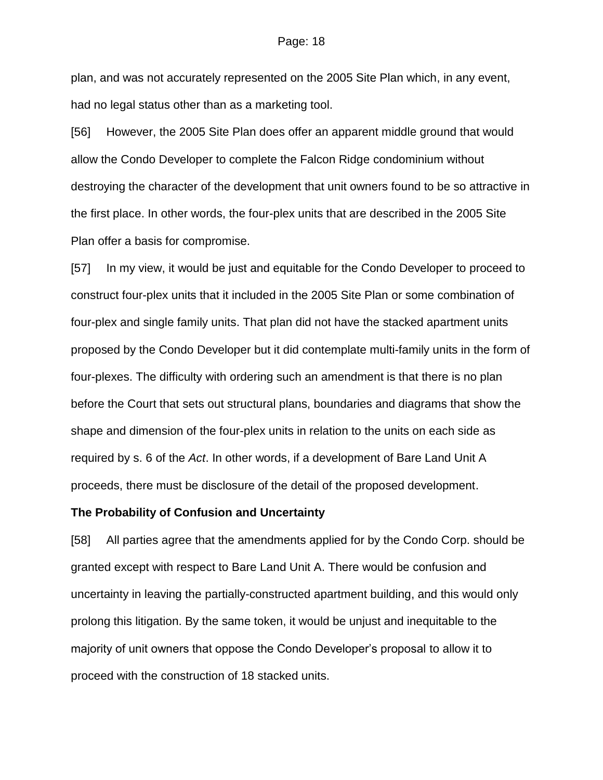plan, and was not accurately represented on the 2005 Site Plan which, in any event, had no legal status other than as a marketing tool.

[56] However, the 2005 Site Plan does offer an apparent middle ground that would allow the Condo Developer to complete the Falcon Ridge condominium without destroying the character of the development that unit owners found to be so attractive in the first place. In other words, the four-plex units that are described in the 2005 Site Plan offer a basis for compromise.

[57] In my view, it would be just and equitable for the Condo Developer to proceed to construct four-plex units that it included in the 2005 Site Plan or some combination of four-plex and single family units. That plan did not have the stacked apartment units proposed by the Condo Developer but it did contemplate multi-family units in the form of four-plexes. The difficulty with ordering such an amendment is that there is no plan before the Court that sets out structural plans, boundaries and diagrams that show the shape and dimension of the four-plex units in relation to the units on each side as required by s. 6 of the *Act*. In other words, if a development of Bare Land Unit A proceeds, there must be disclosure of the detail of the proposed development.

#### **The Probability of Confusion and Uncertainty**

[58] All parties agree that the amendments applied for by the Condo Corp. should be granted except with respect to Bare Land Unit A. There would be confusion and uncertainty in leaving the partially-constructed apartment building, and this would only prolong this litigation. By the same token, it would be unjust and inequitable to the majority of unit owners that oppose the Condo Developer's proposal to allow it to proceed with the construction of 18 stacked units.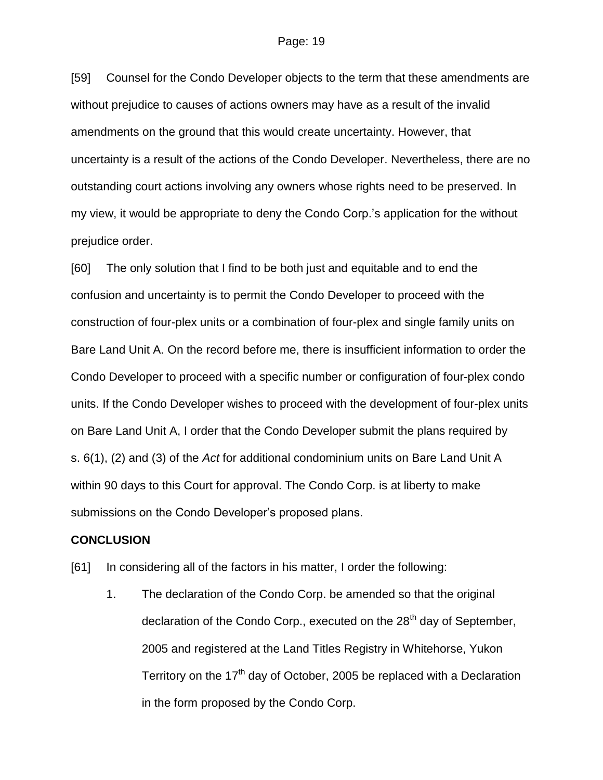[59] Counsel for the Condo Developer objects to the term that these amendments are without prejudice to causes of actions owners may have as a result of the invalid amendments on the ground that this would create uncertainty. However, that uncertainty is a result of the actions of the Condo Developer. Nevertheless, there are no outstanding court actions involving any owners whose rights need to be preserved. In my view, it would be appropriate to deny the Condo Corp.'s application for the without prejudice order.

[60] The only solution that I find to be both just and equitable and to end the confusion and uncertainty is to permit the Condo Developer to proceed with the construction of four-plex units or a combination of four-plex and single family units on Bare Land Unit A. On the record before me, there is insufficient information to order the Condo Developer to proceed with a specific number or configuration of four-plex condo units. If the Condo Developer wishes to proceed with the development of four-plex units on Bare Land Unit A, I order that the Condo Developer submit the plans required by s. 6(1), (2) and (3) of the *Act* for additional condominium units on Bare Land Unit A within 90 days to this Court for approval. The Condo Corp. is at liberty to make submissions on the Condo Developer's proposed plans.

#### **CONCLUSION**

[61] In considering all of the factors in his matter, I order the following:

1. The declaration of the Condo Corp. be amended so that the original declaration of the Condo Corp., executed on the 28<sup>th</sup> day of September, 2005 and registered at the Land Titles Registry in Whitehorse, Yukon Territory on the 17<sup>th</sup> day of October, 2005 be replaced with a Declaration in the form proposed by the Condo Corp.